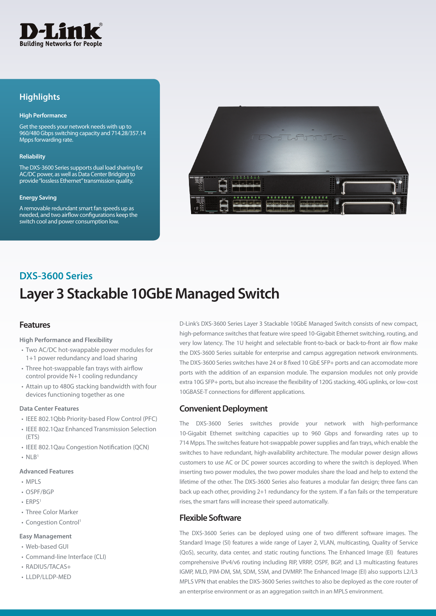

## **Highlights**

#### **High Performance**

Get the speeds your network needs with up to 960/480 Gbps switching capacity and 714.28/357.14 Mpps forwarding rate.

#### **Reliability**

The DXS-3600 Series supports dual load sharing for AC/DC power, as well as Data Center Bridging to provide "lossless Ethernet" transmission quality.

#### **Energy Saving**

A removable redundant smart fan speeds up as needed, and two airflow configurations keep the switch cool and power consumption low.



## **Layer 3 Stackable 10GbE Managed Switch DXS-3600 Series**

### **Features**

#### **High Performance and Flexibility**

- Two AC/DC hot-swappable power modules for 1+1 power redundancy and load sharing
- Three hot-swappable fan trays with airflow control provide N+1 cooling redundancy
- Attain up to 480G stacking bandwidth with four devices functioning together as one

#### **Data Center Features**

- IEEE 802.1Qbb Priority-based Flow Control (PFC)
- IEEE 802.1Qaz Enhanced Transmission Selection (ETS)
- IEEE 802.1Qau Congestion Notification (QCN)
- $\bullet$  NLB1

#### **Advanced Features**

- MPLS
- OSPF/BGP
- FRPS<sup>1</sup>
- Three Color Marker
- Congestion Control<sup>1</sup>

### **Easy Management**

- Web-based GUI
- Command-line Interface (CLI)
- RADIUS/TACAS+
- LLDP/LLDP-MED

D-Link's DXS-3600 Series Layer 3 Stackable 10GbE Managed Switch consists of new compact, high-peformance switches that feature wire speed 10-Gigabit Ethernet switching, routing, and very low latency. The 1U height and selectable front-to-back or back-to-front air flow make the DXS-3600 Series suitable for enterprise and campus aggregation network environments. The DXS-3600 Series switches have 24 or 8 fixed 10 GbE SFP+ ports and can accomodate more ports with the addition of an expansion module. The expansion modules not only provide extra 10G SFP+ ports, but also increase the flexibility of 120G stacking, 40G uplinks, or low-cost 10GBASE-T connections for different applications.

### **Convenient Deployment**

The DXS-3600 Series switches provide your network with high-performance 10-Gigabit Ethernet switching capacities up to 960 Gbps and forwarding rates up to 714 Mpps. The switches feature hot-swappable power supplies and fan trays, which enable the switches to have redundant, high-availability architecture. The modular power design allows customers to use AC or DC power sources according to where the switch is deployed. When inserting two power modules, the two power modules share the load and help to extend the lifetime of the other. The DXS-3600 Series also features a modular fan design; three fans can back up each other, providing 2+1 redundancy for the system. If a fan fails or the temperature rises, the smart fans will increase their speed automatically.

## **Flexible Software**

The DXS-3600 Series can be deployed using one of two different software images. The Standard Image (SI) features a wide range of Layer 2, VLAN, multicasting, Quality of Service (QoS), security, data center, and static routing functions. The Enhanced Image (EI) features comprehensive IPv4/v6 routing including RIP, VRRP, OSPF, BGP, and L3 multicasting features IGMP, MLD, PIM-DM, SM, SDM, SSM, and DVMRP. The Enhanced Image (EI) also supports L2/L3 MPLS VPN that enables the DXS-3600 Series switches to also be deployed as the core router of an enterprise environment or as an aggregation switch in an MPLS environment.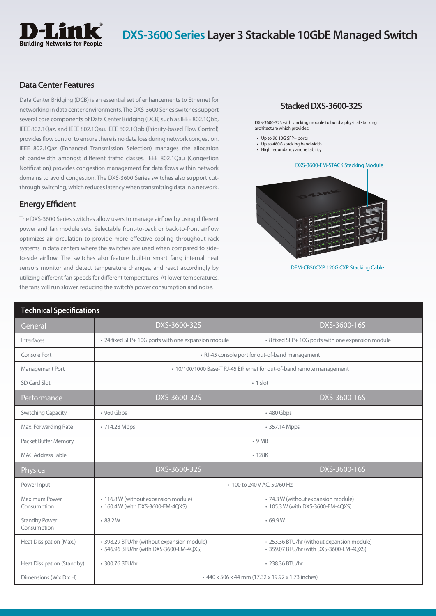

## **Data Center Features**

Data Center Bridging (DCB) is an essential set of enhancements to Ethernet for networking in data center environments. The DXS-3600 Series switches support several core components of Data Center Bridging (DCB) such as IEEE 802.1Qbb, IEEE 802.1Qaz, and IEEE 802.1Qau. IEEE 802.1Qbb (Priority-based Flow Control) provides flow control to ensure there is no data loss during network congestion. IEEE 802.1Qaz (Enhanced Transmission Selection) manages the allocation of bandwidth amongst different traffic classes. IEEE 802.1Qau (Congestion Notification) provides congestion management for data flows within network domains to avoid congestion. The DXS-3600 Series switches also support cutthrough switching, which reduces latency when transmitting data in a network.

## **Energy Efficient**

The DXS-3600 Series switches allow users to manage airflow by using different power and fan module sets. Selectable front-to-back or back-to-front airflow optimizes air circulation to provide more effective cooling throughout rack systems in data centers where the switches are used when compared to sideto-side airflow. The switches also feature built-in smart fans; internal heat sensors monitor and detect temperature changes, and react accordingly by utilizing different fan speeds for different temperatures. At lower temperatures, the fans will run slower, reducing the switch's power consumption and noise.

### **Stacked DXS-3600-32S**

DXS-3600-32S with stacking module to build a physical stacking architecture which provides:

- Up to 96 10G SFP+ ports
- Up to 480G stacking bandwidth
- High redundancy and reliability

#### DXS-3600-EM-STACK Stacking Module



DEM-CB50CXP 120G CXP Stacking Cable

| <b>Technical Specifications</b>      |                                                                                       |                                                                                       |
|--------------------------------------|---------------------------------------------------------------------------------------|---------------------------------------------------------------------------------------|
| General                              | DXS-3600-32S                                                                          | DXS-3600-16S                                                                          |
| Interfaces                           | • 24 fixed SFP+ 10G ports with one expansion module                                   | • 8 fixed SFP+ 10G ports with one expansion module                                    |
| Console Port                         |                                                                                       | • RJ-45 console port for out-of-band management                                       |
| Management Port                      |                                                                                       | • 10/100/1000 Base-T RJ-45 Ethernet for out-of-band remote management                 |
| SD Card Slot                         | $\cdot$ 1 slot                                                                        |                                                                                       |
| Performance                          | DXS-3600-32S                                                                          | DXS-3600-16S                                                                          |
| <b>Switching Capacity</b>            | • 960 Gbps                                                                            | • 480 Gbps                                                                            |
| Max. Forwarding Rate                 | • 714.28 Mpps                                                                         | • 357.14 Mpps                                                                         |
| Packet Buffer Memory                 |                                                                                       | .9MB                                                                                  |
| <b>MAC Address Table</b>             | $\cdot$ 128 $K$                                                                       |                                                                                       |
| Physical                             | DXS-3600-32S                                                                          | DXS-3600-16S                                                                          |
| Power Input                          |                                                                                       | • 100 to 240 V AC, 50/60 Hz                                                           |
| Maximum Power<br>Consumption         | • 116.8 W (without expansion module)<br>• 160.4 W (with DXS-3600-EM-4QXS)             | · 74.3 W (without expansion module)<br>• 105.3 W (with DXS-3600-EM-4QXS)              |
| <b>Standby Power</b><br>Consumption  | 88.2W                                                                                 | .69.9W                                                                                |
| Heat Dissipation (Max.)              | · 398.29 BTU/hr (without expansion module)<br>• 546.96 BTU/hr (with DXS-3600-EM-4QXS) | · 253.36 BTU/hr (without expansion module)<br>• 359.07 BTU/hr (with DXS-3600-EM-4QXS) |
| Heat Dissipation (Standby)           | • 300.76 BTU/hr                                                                       | • 238.36 BTU/hr                                                                       |
| Dimensions ( $W \times D \times H$ ) |                                                                                       | • 440 x 506 x 44 mm (17.32 x 19.92 x 1.73 inches)                                     |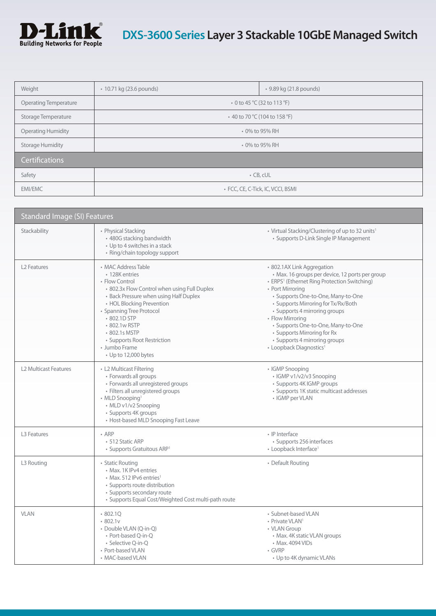

| Weight                       | • 10.71 kg (23.6 pounds)          | • 9.89 kg (21.8 pounds) |
|------------------------------|-----------------------------------|-------------------------|
| <b>Operating Temperature</b> | • 0 to 45 °C (32 to 113 °F)       |                         |
| Storage Temperature          | • 40 to 70 °C (104 to 158 °F)     |                         |
| <b>Operating Humidity</b>    | • 0% to 95% RH                    |                         |
| <b>Storage Humidity</b>      | • 0% to 95% RH                    |                         |
| <b>Certifications</b>        |                                   |                         |
| Safety                       | $\cdot$ CB, cUL                   |                         |
| <b>EMI/EMC</b>               | • FCC, CE, C-Tick, IC, VCCI, BSMI |                         |

| <b>Standard Image (SI) Features</b> |                                                                                                                                                                                                                                                                                                                                      |                                                                                                                                                                                                                                                                                                                                                                                                                                              |
|-------------------------------------|--------------------------------------------------------------------------------------------------------------------------------------------------------------------------------------------------------------------------------------------------------------------------------------------------------------------------------------|----------------------------------------------------------------------------------------------------------------------------------------------------------------------------------------------------------------------------------------------------------------------------------------------------------------------------------------------------------------------------------------------------------------------------------------------|
| Stackability                        | • Physical Stacking<br>• 480G stacking bandwidth<br>• Up to 4 switches in a stack<br>• Ring/chain topology support                                                                                                                                                                                                                   | • Virtual Stacking/Clustering of up to 32 units <sup>1</sup><br>• Supports D-Link Single IP Management                                                                                                                                                                                                                                                                                                                                       |
| L <sub>2</sub> Features             | • MAC Address Table<br>• 128K entries<br>• Flow Control<br>• 802.3x Flow Control when using Full Duplex<br>• Back Pressure when using Half Duplex<br>• HOL Blocking Prevention<br>• Spanning Tree Protocol<br>• 802.1D STP<br>• 802.1w RSTP<br>• 802.1s MSTP<br>• Supports Root Restriction<br>• Jumbo Frame<br>• Up to 12,000 bytes | · 802.1AX Link Aggregation<br>· Max. 16 groups per device, 12 ports per group<br>• ERPS <sup>1</sup> (Ethernet Ring Protection Switching)<br>• Port Mirroring<br>· Supports One-to-One, Many-to-One<br>• Supports Mirroring for Tx/Rx/Both<br>• Supports 4 mirroring groups<br>• Flow Mirroring<br>· Supports One-to-One, Many-to-One<br>• Supports Mirroring for Rx<br>• Supports 4 mirroring groups<br>• Loopback Diagnostics <sup>1</sup> |
| <b>L2 Multicast Features</b>        | • L2 Multicast Filtering<br>• Forwards all groups<br>· Forwards all unregistered groups<br>· Filters all unregistered groups<br>• MLD Snooping <sup>1</sup><br>• MLD v1/v2 Snooping<br>• Supports 4K groups<br>• Host-based MLD Snooping Fast Leave                                                                                  | • IGMP Snooping<br>· IGMP v1/v2/v3 Snooping<br>• Supports 4K IGMP groups<br>• Supports 1K static multicast addresses<br>• IGMP per VLAN                                                                                                                                                                                                                                                                                                      |
| L3 Features                         | $\cdot$ ARP<br>• 512 Static ARP<br>• Supports Gratuitous ARP <sup>1</sup>                                                                                                                                                                                                                                                            | • IP Interface<br>· Supports 256 interfaces<br>• Loopback Interface <sup>1</sup>                                                                                                                                                                                                                                                                                                                                                             |
| L3 Routing                          | • Static Routing<br>• Max. 1K IPv4 entries<br>• Max. 512 IPv6 entries <sup>1</sup><br>· Supports route distribution<br>• Supports secondary route<br>• Supports Equal Cost/Weighted Cost multi-path route                                                                                                                            | • Default Routing                                                                                                                                                                                                                                                                                                                                                                                                                            |
| <b>VLAN</b>                         | 802.1Q<br>802.1v<br>• Double VLAN (Q-in-Q)<br>• Port-based Q-in-Q<br>• Selective Q-in-Q<br>• Port-based VLAN<br>• MAC-based VLAN                                                                                                                                                                                                     | • Subnet-based VLAN<br>• Private VLAN <sup>1</sup><br>• VLAN Group<br>• Max. 4K static VLAN groups<br>• Max. 4094 VIDs<br>$\cdot$ GVRP<br>• Up to 4K dynamic VLANs                                                                                                                                                                                                                                                                           |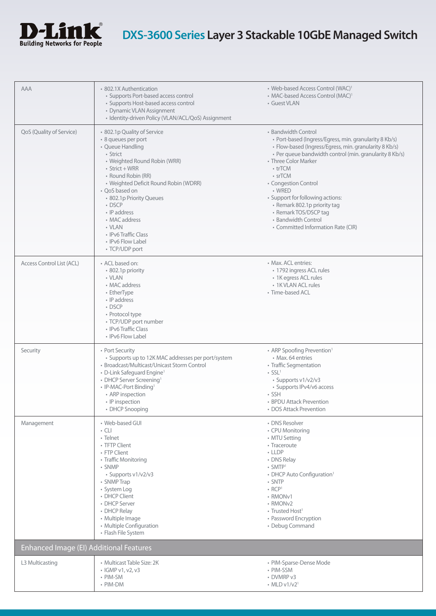

| AAA                                     | • 802.1X Authentication<br>• Supports Port-based access control<br>• Supports Host-based access control<br>• Dynamic VLAN Assignment<br>· Identity-driven Policy (VLAN/ACL/QoS) Assignment                                                                                                                                                                                  | • Web-based Access Control (WAC) <sup>1</sup><br>• MAC-based Access Control (MAC) <sup>1</sup><br>• Guest VLAN                                                                                                                                                                                                                                                                                                                               |
|-----------------------------------------|-----------------------------------------------------------------------------------------------------------------------------------------------------------------------------------------------------------------------------------------------------------------------------------------------------------------------------------------------------------------------------|----------------------------------------------------------------------------------------------------------------------------------------------------------------------------------------------------------------------------------------------------------------------------------------------------------------------------------------------------------------------------------------------------------------------------------------------|
| QoS (Quality of Service)                | • 802.1p Quality of Service<br>· 8 queues per port<br>• Queue Handling<br>• Strict<br>• Weighted Round Robin (WRR)<br>$\cdot$ Strict + WRR<br>• Round Robin (RR)<br>• Weighted Deficit Round Robin (WDRR)<br>• QoS based on<br>• 802.1p Priority Queues<br>• DSCP<br>• IP address<br>• MAC address<br>• VLAN<br>• IPv6 Traffic Class<br>• IPv6 Flow Label<br>• TCP/UDP port | • Bandwidth Control<br>• Port-based (Ingress/Egress, min. granularity 8 Kb/s)<br>· Flow-based (Ingress/Egress, min. granularity 8 Kb/s)<br>• Per queue bandwidth control (min. granularity 8 Kb/s)<br>• Three Color Marker<br>• trTCM<br>• srTCM<br>• Congestion Control<br>• WRED<br>• Support for following actions:<br>• Remark 802.1p priority tag<br>• Remark TOS/DSCP tag<br>• Bandwidth Control<br>• Committed Information Rate (CIR) |
| Access Control List (ACL)               | • ACL based on:<br>· 802.1p priority<br>• VLAN<br>• MAC address<br>• EtherType<br>• IP address<br>$\cdot$ DSCP<br>• Protocol type<br>• TCP/UDP port number<br>• IPv6 Traffic Class<br>• IPv6 Flow Label                                                                                                                                                                     | • Max. ACL entries:<br>· 1792 ingress ACL rules<br>• 1K egress ACL rules<br>• 1K VLAN ACL rules<br>• Time-based ACL                                                                                                                                                                                                                                                                                                                          |
| Security                                | • Port Security<br>• Supports up to 12K MAC addresses per port/system<br>• Broadcast/Multicast/Unicast Storm Control<br>• D-Link Safeguard Engine <sup>1</sup><br>• DHCP Server Screening <sup>1</sup><br>• IP-MAC-Port Binding <sup>1</sup><br>• ARP inspection<br>• IP inspection<br>• DHCP Snooping                                                                      | • ARP Spoofing Prevention <sup>1</sup><br>• Max. 64 entries<br>• Traffic Segmentation<br>$\cdot$ SSL <sup>1</sup><br>· Supports v1/v2/v3<br>• Supports IPv4/v6 access<br>$\cdot$ SSH<br>• BPDU Attack Prevention<br>• DOS Attack Prevention                                                                                                                                                                                                  |
| Management                              | • Web-based GUI<br>$\cdot$ CLI<br>• Telnet<br>• TFTP Client<br>• FTP Client<br>• Traffic Monitoring<br>• SNMP<br>· Supports v1/v2/v3<br>• SNMP Trap<br>· System Log<br>• DHCP Client<br>• DHCP Server<br>• DHCP Relay<br>· Multiple Image<br>• Multiple Configuration<br>• Flash File System                                                                                | • DNS Resolver<br>• CPU Monitoring<br>• MTU Setting<br>• Traceroute<br>$\cdot$ LLDP<br>• DNS Relay<br>$\cdot$ SMTP <sup>1</sup><br>• DHCP Auto Configuration <sup>1</sup><br>• SNTP<br>$\cdot$ RCP <sup>1</sup><br>• RMONv1<br>• RMON <sub>v2</sub><br>• Trusted Host <sup>1</sup><br>• Password Encryption<br>• Debug Command                                                                                                               |
| Enhanced Image (EI) Additional Features |                                                                                                                                                                                                                                                                                                                                                                             |                                                                                                                                                                                                                                                                                                                                                                                                                                              |
| L3 Multicasting                         | • Multicast Table Size: 2K<br>• IGMP v1, v2, v3<br>• PIM-SM<br>• PIM-DM                                                                                                                                                                                                                                                                                                     | • PIM-Sparse-Dense Mode<br>• PIM-SSM<br>• DVMRP v3<br>$\cdot$ MLD v1/v2 <sup>1</sup>                                                                                                                                                                                                                                                                                                                                                         |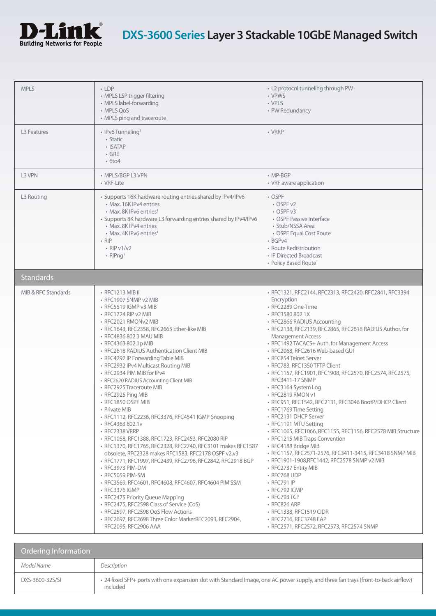

| <b>MPLS</b>             | $\cdot$ LDP<br>• MPLS LSP trigger filtering<br>• MPLS label-forwarding<br>• MPLS QoS<br>• MPLS ping and traceroute                                                                                                                                                                                                                                                                                                                                                                                                                                                                                                                                                                                                                                                                                                                                                                                                                                                                                                                                                                                                                                                                      | • L2 protocol tunneling through PW<br>• VPWS<br>• VPLS<br>• PW Redundancy                                                                                                                                                                                                                                                                                                                                                                                                                                                                                                                                                                                                                                                                                                                                                                                                                                                                                                                                                                                                                          |
|-------------------------|-----------------------------------------------------------------------------------------------------------------------------------------------------------------------------------------------------------------------------------------------------------------------------------------------------------------------------------------------------------------------------------------------------------------------------------------------------------------------------------------------------------------------------------------------------------------------------------------------------------------------------------------------------------------------------------------------------------------------------------------------------------------------------------------------------------------------------------------------------------------------------------------------------------------------------------------------------------------------------------------------------------------------------------------------------------------------------------------------------------------------------------------------------------------------------------------|----------------------------------------------------------------------------------------------------------------------------------------------------------------------------------------------------------------------------------------------------------------------------------------------------------------------------------------------------------------------------------------------------------------------------------------------------------------------------------------------------------------------------------------------------------------------------------------------------------------------------------------------------------------------------------------------------------------------------------------------------------------------------------------------------------------------------------------------------------------------------------------------------------------------------------------------------------------------------------------------------------------------------------------------------------------------------------------------------|
| L <sub>3</sub> Features | • IPv6 Tunneling <sup>1</sup><br>• Static<br>• ISATAP<br>$\cdot$ GRE<br>$\cdot$ 6to4                                                                                                                                                                                                                                                                                                                                                                                                                                                                                                                                                                                                                                                                                                                                                                                                                                                                                                                                                                                                                                                                                                    | $\cdot$ VRRP                                                                                                                                                                                                                                                                                                                                                                                                                                                                                                                                                                                                                                                                                                                                                                                                                                                                                                                                                                                                                                                                                       |
| L3 VPN                  | • MPLS/BGP L3 VPN<br>• VRF-Lite                                                                                                                                                                                                                                                                                                                                                                                                                                                                                                                                                                                                                                                                                                                                                                                                                                                                                                                                                                                                                                                                                                                                                         | $\cdot$ MP-BGP<br>• VRF aware application                                                                                                                                                                                                                                                                                                                                                                                                                                                                                                                                                                                                                                                                                                                                                                                                                                                                                                                                                                                                                                                          |
| L3 Routing              | • Supports 16K hardware routing entries shared by IPv4/IPv6<br>• Max. 16K IPv4 entries<br>• Max. 8K IPv6 entries <sup>1</sup><br>• Supports 8K hardware L3 forwarding entries shared by IPv4/IPv6<br>• Max, 8K IPv4 entries<br>• Max. 4K IPv6 entries <sup>1</sup><br>$\cdot$ RIP<br>$\cdot$ RIP $v1/v2$<br>• $RIPnq1$                                                                                                                                                                                                                                                                                                                                                                                                                                                                                                                                                                                                                                                                                                                                                                                                                                                                  | • OSPF<br>• OSPF v2<br>$\cdot$ OSPF v3 <sup>1</sup><br>• OSPF Passive Interface<br>• Stub/NSSA Area<br>• OSPF Equal Cost Route<br>$-BGPV4$<br>• Route Redistribution<br>• IP Directed Broadcast<br>• Policy Based Route <sup>1</sup>                                                                                                                                                                                                                                                                                                                                                                                                                                                                                                                                                                                                                                                                                                                                                                                                                                                               |
| <b>Standards</b>        |                                                                                                                                                                                                                                                                                                                                                                                                                                                                                                                                                                                                                                                                                                                                                                                                                                                                                                                                                                                                                                                                                                                                                                                         |                                                                                                                                                                                                                                                                                                                                                                                                                                                                                                                                                                                                                                                                                                                                                                                                                                                                                                                                                                                                                                                                                                    |
| MIB & RFC Standards     | • RFC1213 MIB II<br>• RFC1907 SNMP v2 MIB<br>$\cdot$ RFC5519 IGMP v3 MIB<br>• RFC1724 RIP v2 MIB<br>• RFC2021 RMONv2 MIB<br>· RFC1643, RFC2358, RFC2665 Ether-like MIB<br>· RFC4836 802.3 MAU MIB<br>• RFC4363 802.1p MIB<br>• RFC2618 RADIUS Authentication Client MIB<br>• RFC4292 IP Forwarding Table MIB<br>• RFC2932 IPv4 Multicast Routing MIB<br>• RFC2934 PIM MIB for IPv4<br>• RFC2620 RADIUS Accounting Client MIB<br>• RFC2925 Traceroute MIB<br>• RFC2925 Ping MIB<br>• RFC1850 OSPF MIB<br>• Private MIB<br>· RFC1112, RFC2236, RFC3376, RFC4541 IGMP Snooping<br>• RFC4363 802.1v<br>• RFC2338 VRRP<br>· RFC1058, RFC1388, RFC1723, RFC2453, RFC2080 RIP<br>· RFC1370, RFC1765, RFC2328, RFC2740, RFC3101 makes RFC1587<br>obsolete, RFC2328 makes RFC1583, RFC2178 OSPF v2,v3<br>· RFC1771, RFC1997, RFC2439, RFC2796, RFC2842, RFC2918 BGP<br>• RFC3973 PIM-DM<br>• RFC5059 PIM-SM<br>· RFC3569, RFC4601, RFC4608, RFC4607, RFC4604 PIM SSM<br>• RFC3376 IGMP<br>• RFC2475 Priority Queue Mapping<br>• RFC2475, RFC2598 Class of Service (CoS)<br>• RFC2597, RFC2598 QoS Flow Actions<br>· RFC2697, RFC2698 Three Color MarkerRFC2093, RFC2904,<br>RFC2095, RFC2906 AAA | • RFC1321, RFC2144, RFC2313, RFC2420, RFC2841, RFC3394<br>Encryption<br>• RFC2289 One-Time<br>• RFC3580 802.1X<br>• RFC2866 RADIUS Accounting<br>· RFC2138, RFC2139, RFC2865, RFC2618 RADIUS Author. for<br><b>Management Access</b><br>• RFC1492 TACACS+ Auth. for Management Access<br>· RFC2068, RFC2616 Web-based GUI<br>• RFC854 Telnet Server<br>· RFC783, RFC1350 TFTP Client<br>· RFC1157, RFC1901, RFC1908, RFC2570, RFC2574, RFC2575,<br>RFC3411-17 SNMP<br>• RFC3164 System Log<br>• RFC2819 RMON v1<br>· RFC951, RFC1542, RFC2131, RFC3046 BootP/DHCP Client<br>• RFC1769 Time Setting<br>• RFC2131 DHCP Server<br>• RFC1191 MTU Setting<br>· RFC1065, RFC1066, RFC1155, RFC1156, RFC2578 MIB Structure<br>• RFC1215 MIB Traps Convention<br>• RFC4188 Bridge MIB<br>· RFC1157, RFC2571-2576, RFC3411-3415, RFC3418 SNMP MIB<br>• RFC1901-1908, RFC1442, RFC2578 SNMP v2 MIB<br>• RFC2737 Entity MIB<br>• RFC768 UDP<br>• RFC791 IP<br>• RFC792 ICMP<br>• RFC793 TCP<br>• RFC826 ARP<br>• RFC1338, RFC1519 CIDR<br>• RFC2716, RFC3748 EAP<br>• RFC2571, RFC2572, RFC2573, RFC2574 SNMP |

| Ordering Information |                                                                                                                                                 |
|----------------------|-------------------------------------------------------------------------------------------------------------------------------------------------|
| Model Name           | Description                                                                                                                                     |
| DXS-3600-32S/SI      | . 24 fixed SFP+ ports with one expansion slot with Standard Image, one AC power supply, and three fan trays (front-to-back airflow)<br>included |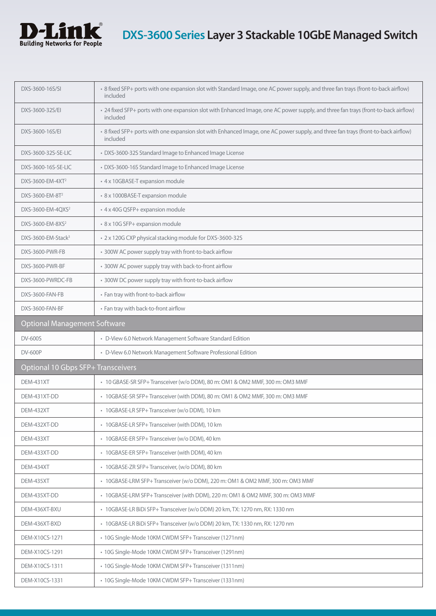

| DXS-3600-16S/SI                     | · 8 fixed SFP+ ports with one expansion slot with Standard Image, one AC power supply, and three fan trays (front-to-back airflow)<br>included  |
|-------------------------------------|-------------------------------------------------------------------------------------------------------------------------------------------------|
| DXS-3600-32S/EI                     | • 24 fixed SFP+ ports with one expansion slot with Enhanced Image, one AC power supply, and three fan trays (front-to-back airflow)<br>included |
| DXS-3600-16S/EI                     | · 8 fixed SFP+ ports with one expansion slot with Enhanced Image, one AC power supply, and three fan trays (front-to-back airflow)<br>included  |
| DXS-3600-32S-SE-LIC                 | • DXS-3600-32S Standard Image to Enhanced Image License                                                                                         |
| DXS-3600-16S-SE-LIC                 | • DXS-3600-16S Standard Image to Enhanced Image License                                                                                         |
| DXS-3600-EM-4XT <sup>2</sup>        | • 4 x 10GBASE-T expansion module                                                                                                                |
| DXS-3600-EM-8T <sup>2</sup>         | · 8 x 1000BASE-T expansion module                                                                                                               |
| DXS-3600-EM-4QXS <sup>2</sup>       | • 4 x 40G QSFP+ expansion module                                                                                                                |
| DXS-3600-EM-8XS <sup>2</sup>        | · 8 x 10G SFP+ expansion module                                                                                                                 |
| DXS-3600-EM-Stack <sup>3</sup>      | • 2 x 120G CXP physical stacking module for DXS-3600-32S                                                                                        |
| DXS-3600-PWR-FB                     | • 300W AC power supply tray with front-to-back airflow                                                                                          |
| DXS-3600-PWR-BF                     | • 300W AC power supply tray with back-to-front airflow                                                                                          |
| DXS-3600-PWRDC-FB                   | • 300W DC power supply tray with front-to-back airflow                                                                                          |
| DXS-3600-FAN-FB                     | • Fan tray with front-to-back airflow                                                                                                           |
| DXS-3600-FAN-BF                     | • Fan tray with back-to-front airflow                                                                                                           |
| <b>Optional Management Software</b> |                                                                                                                                                 |
| <b>DV-600S</b>                      | • D-View 6.0 Network Management Software Standard Edition                                                                                       |
| <b>DV-600P</b>                      | • D-View 6.0 Network Management Software Professional Edition                                                                                   |
| Optional 10 Gbps SFP+ Transceivers  |                                                                                                                                                 |
| <b>DEM-431XT</b>                    | • 10 GBASE-SR SFP+ Transceiver (w/o DDM), 80 m: OM1 & OM2 MMF, 300 m: OM3 MMF                                                                   |
| DEM-431XT-DD                        | • 10GBASE-SR SFP+ Transceiver (with DDM), 80 m: OM1 & OM2 MMF, 300 m: OM3 MMF                                                                   |
| DEM-432XT                           | • 10GBASE-LR SFP+ Transceiver (w/o DDM), 10 km                                                                                                  |
| DEM-432XT-DD                        | • 10GBASE-LR SFP+ Transceiver (with DDM), 10 km                                                                                                 |
| <b>DEM-433XT</b>                    | · 10GBASE-ER SFP+Transceiver (w/o DDM), 40 km                                                                                                   |
| DEM-433XT-DD                        | • 10GBASE-ER SFP+ Transceiver (with DDM), 40 km                                                                                                 |
| DEM-434XT                           | · 10GBASE-ZR SFP+ Transceiver, (w/o DDM), 80 km                                                                                                 |
| <b>DEM-435XT</b>                    | · 10GBASE-LRM SFP+Transceiver (w/o DDM), 220 m: OM1 & OM2 MMF, 300 m: OM3 MMF                                                                   |
| DEM-435XT-DD                        | • 10GBASE-LRM SFP+ Transceiver (with DDM), 220 m: OM1 & OM2 MMF, 300 m: OM3 MMF                                                                 |
| DEM-436XT-BXU                       | · 10GBASE-LR BiDi SFP+Transceiver (w/o DDM) 20 km, TX: 1270 nm, RX: 1330 nm                                                                     |
| DEM-436XT-BXD                       | · 10GBASE-LR BiDi SFP+ Transceiver (w/o DDM) 20 km, TX: 1330 nm, RX: 1270 nm                                                                    |
| DEM-X10CS-1271                      | · 10G Single-Mode 10KM CWDM SFP+ Transceiver (1271nm)                                                                                           |
| DEM-X10CS-1291                      | • 10G Single-Mode 10KM CWDM SFP+ Transceiver (1291nm)                                                                                           |
| DEM-X10CS-1311                      | • 10G Single-Mode 10KM CWDM SFP+ Transceiver (1311nm)                                                                                           |
| DEM-X10CS-1331                      | • 10G Single-Mode 10KM CWDM SFP+ Transceiver (1331nm)                                                                                           |